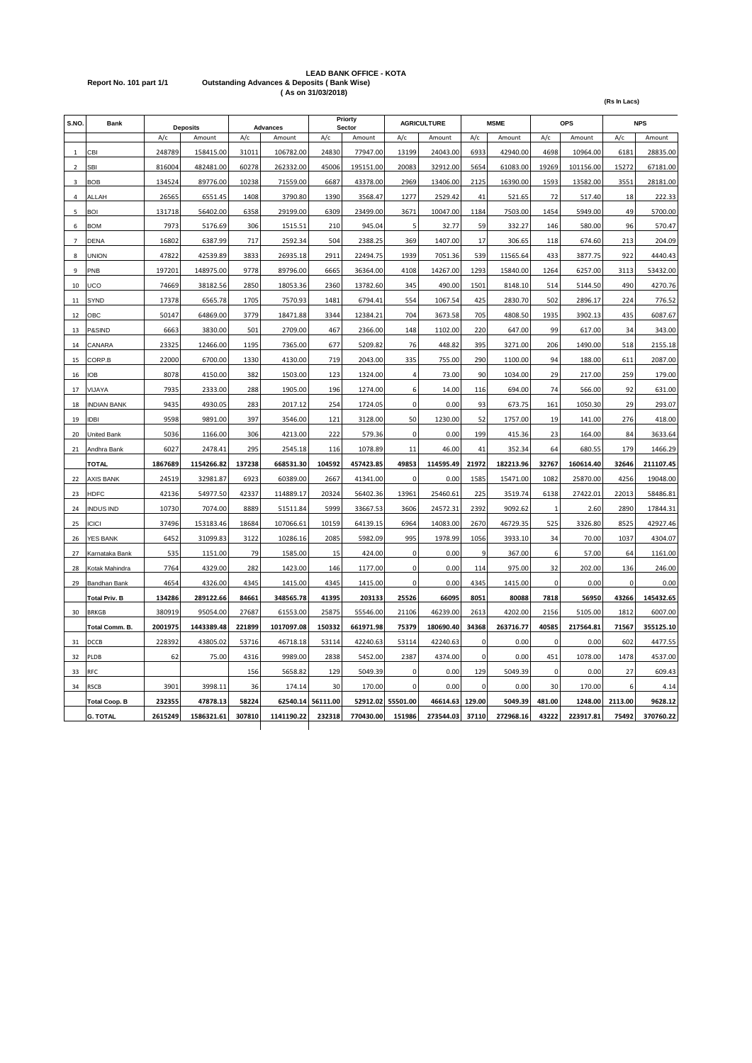## **LEAD BANK OFFICE - KOTA Report No. 101 part 1/1 Outstanding Advances & Deposits ( Bank Wise) ( As on 31/03/2018)**

| S.NO.          | Bank                 |         | <b>Deposits</b> |        | <b>Advances</b> |          | Priorty<br>Sector |                | <b>AGRICULTURE</b> |             | <b>MSME</b> |              | OPS       |         | <b>NPS</b> |
|----------------|----------------------|---------|-----------------|--------|-----------------|----------|-------------------|----------------|--------------------|-------------|-------------|--------------|-----------|---------|------------|
|                |                      | A/c     | Amount          | A/c    | Amount          | A/c      | Amount            | A/c            | Amount             | A/c         | Amount      | A/c          | Amount    | A/c     | Amount     |
| $\mathbf{1}$   | CBI                  | 248789  | 158415.00       | 31011  | 106782.00       | 24830    | 77947.00          | 13199          | 24043.00           | 6933        | 42940.00    | 4698         | 10964.00  | 6181    | 28835.00   |
| $\overline{2}$ | <b>SBI</b>           | 816004  | 482481.00       | 60278  | 262332.00       | 45006    | 195151.00         | 20083          | 32912.00           | 5654        | 61083.00    | 19269        | 101156.00 | 15272   | 67181.00   |
| $\overline{3}$ | <b>BOB</b>           | 134524  | 89776.00        | 10238  | 71559.00        | 6687     | 43378.00          | 2969           | 13406.00           | 2125        | 16390.00    | 1593         | 13582.00  | 3551    | 28181.00   |
| $\overline{a}$ | ALLAH                | 26565   | 6551.45         | 1408   | 3790.80         | 1390     | 3568.47           | 1277           | 2529.42            | 41          | 521.65      | 72           | 517.40    | 18      | 222.33     |
| 5              | BOI                  | 131718  | 56402.00        | 6358   | 29199.00        | 6309     | 23499.00          | 3671           | 10047.00           | 1184        | 7503.00     | 1454         | 5949.00   | 49      | 5700.00    |
| 6              | <b>BOM</b>           | 7973    | 5176.69         | 306    | 1515.51         | 210      | 945.04            | 5              | 32.77              | 59          | 332.27      | 146          | 580.00    | 96      | 570.47     |
| 7              | <b>DENA</b>          | 16802   | 6387.99         | 717    | 2592.34         | 504      | 2388.25           | 369            | 1407.00            | 17          | 306.65      | 118          | 674.60    | 213     | 204.09     |
| 8              | <b>UNION</b>         | 47822   | 42539.89        | 3833   | 26935.18        | 2911     | 22494.75          | 1939           | 7051.36            | 539         | 11565.64    | 433          | 3877.75   | 922     | 4440.43    |
| 9              | PNB                  | 197201  | 148975.00       | 9778   | 89796.00        | 6665     | 36364.00          | 4108           | 14267.00           | 1293        | 15840.00    | 1264         | 6257.00   | 3113    | 53432.00   |
| 10             | UCO                  | 74669   | 38182.56        | 2850   | 18053.36        | 2360     | 13782.60          | 345            | 490.00             | 1501        | 8148.10     | 514          | 5144.50   | 490     | 4270.76    |
| 11             | <b>SYND</b>          | 17378   | 6565.78         | 1705   | 7570.93         | 1481     | 6794.41           | 554            | 1067.54            | 425         | 2830.70     | 502          | 2896.17   | 224     | 776.52     |
| 12             | OBC                  | 50147   | 64869.00        | 3779   | 18471.88        | 3344     | 12384.21          | 704            | 3673.58            | 705         | 4808.50     | 1935         | 3902.13   | 435     | 6087.67    |
| 13             | P&SIND               | 6663    | 3830.00         | 501    | 2709.00         | 467      | 2366.00           | 148            | 1102.00            | 220         | 647.00      | 99           | 617.00    | 34      | 343.00     |
| 14             | CANARA               | 23325   | 12466.00        | 1195   | 7365.00         | 677      | 5209.82           | 76             | 448.82             | 395         | 3271.00     | 206          | 1490.00   | 518     | 2155.18    |
| 15             | CORP.B               | 22000   | 6700.00         | 1330   | 4130.00         | 719      | 2043.00           | 335            | 755.00             | 290         | 1100.00     | 94           | 188.00    | 611     | 2087.00    |
| 16             | ЮB                   | 8078    | 4150.00         | 382    | 1503.00         | 123      | 1324.00           | $\overline{4}$ | 73.00              | 90          | 1034.00     | 29           | 217.00    | 259     | 179.00     |
| 17             | VIJAYA               | 7935    | 2333.00         | 288    | 1905.00         | 196      | 1274.00           | 6              | 14.00              | 116         | 694.00      | 74           | 566.00    | 92      | 631.00     |
| 18             | <b>INDIAN BANK</b>   | 9435    | 4930.05         | 283    | 2017.12         | 254      | 1724.05           | 0              | 0.00               | 93          | 673.75      | 161          | 1050.30   | 29      | 293.07     |
| 19             | <b>IDBI</b>          | 9598    | 9891.00         | 397    | 3546.00         | 121      | 3128.00           | 50             | 1230.00            | 52          | 1757.00     | 19           | 141.00    | 276     | 418.00     |
| 20             | <b>United Bank</b>   | 5036    | 1166.00         | 306    | 4213.00         | 222      | 579.36            | $\mathbf 0$    | 0.00               | 199         | 415.36      | 23           | 164.00    | 84      | 3633.64    |
| 21             | Andhra Bank          | 6027    | 2478.41         | 295    | 2545.18         | 116      | 1078.89           | 11             | 46.00              | 41          | 352.34      | 64           | 680.55    | 179     | 1466.29    |
|                | <b>TOTAL</b>         | 1867689 | 1154266.82      | 137238 | 668531.30       | 104592   | 457423.85         | 49853          | 114595.49          | 21972       | 182213.96   | 32767        | 160614.40 | 32646   | 211107.45  |
| 22             | <b>AXIS BANK</b>     | 24519   | 32981.87        | 6923   | 60389.00        | 2667     | 41341.00          | $\mathbf 0$    | 0.00               | 1585        | 15471.00    | 1082         | 25870.00  | 4256    | 19048.00   |
| 23             | <b>HDFC</b>          | 42136   | 54977.50        | 42337  | 114889.17       | 20324    | 56402.36          | 13961          | 25460.61           | 225         | 3519.74     | 6138         | 27422.01  | 22013   | 58486.81   |
| 24             | <b>INDUS IND</b>     | 10730   | 7074.00         | 8889   | 51511.84        | 5999     | 33667.53          | 3606           | 24572.31           | 2392        | 9092.62     | $\mathbf{1}$ | 2.60      | 2890    | 17844.31   |
| 25             | <b>ICICI</b>         | 37496   | 153183.46       | 18684  | 107066.61       | 10159    | 64139.15          | 6964           | 14083.00           | 2670        | 46729.35    | 525          | 3326.80   | 8525    | 42927.46   |
| 26             | <b>YES BANK</b>      | 6452    | 31099.83        | 3122   | 10286.16        | 2085     | 5982.09           | 995            | 1978.99            | 1056        | 3933.10     | 34           | 70.00     | 1037    | 4304.07    |
| 27             | Karnataka Bank       | 535     | 1151.00         | 79     | 1585.00         | 15       | 424.00            | 0              | 0.00               | 9           | 367.00      | 6            | 57.00     | 64      | 1161.00    |
| 28             | Kotak Mahindra       | 7764    | 4329.00         | 282    | 1423.00         | 146      | 1177.00           | 0              | 0.00               | 114         | 975.00      | 32           | 202.00    | 136     | 246.00     |
| 29             | Bandhan Bank         | 4654    | 4326.00         | 4345   | 1415.00         | 4345     | 1415.00           | 0              | 0.00               | 4345        | 1415.00     | 0            | 0.00      | 0       | 0.00       |
|                | <b>Total Priv. B</b> | 134286  | 289122.66       | 84661  | 348565.78       | 41395    | 203133            | 25526          | 66095              | 8051        | 80088       | 7818         | 56950     | 43266   | 145432.65  |
| 30             | <b>BRKGB</b>         | 380919  | 95054.00        | 27687  | 61553.00        | 25875    | 55546.00          | 21106          | 46239.00           | 2613        | 4202.00     | 2156         | 5105.00   | 1812    | 6007.00    |
|                | Total Comm. B.       | 2001975 | 1443389.48      | 221899 | 1017097.08      | 150332   | 661971.98         | 75379          | 180690.40          | 34368       | 263716.77   | 40585        | 217564.81 | 71567   | 355125.10  |
| 31             | DCCB                 | 228392  | 43805.02        | 53716  | 46718.18        | 53114    | 42240.63          | 53114          | 42240.63           | $\Omega$    | 0.00        | $\Omega$     | 0.00      | 602     | 4477.55    |
| 32             | PLDB                 | 62      | 75.00           | 4316   | 9989.00         | 2838     | 5452.00           | 2387           | 4374.00            | $\mathbf 0$ | 0.00        | 451          | 1078.00   | 1478    | 4537.00    |
| 33             | <b>RFC</b>           |         |                 | 156    | 5658.82         | 129      | 5049.39           | 0              | 0.00               | 129         | 5049.39     | 0            | 0.00      | 27      | 609.43     |
| 34             | RSCB                 | 3901    | 3998.11         | 36     | 174.14          | 30       | 170.00            | 0              | 0.00               | 0           | 0.00        | 30           | 170.00    | 6       | 4.14       |
|                | <b>Total Coop. B</b> | 232355  | 47878.13        | 58224  | 62540.14        | 56111.00 | 52912.02          | 55501.00       | 46614.63           | 129.00      | 5049.39     | 481.00       | 1248.00   | 2113.00 | 9628.12    |
|                | <b>G. TOTAL</b>      | 2615249 | 1586321.61      | 307810 | 1141190.22      | 232318   | 770430.00         | 151986         | 273544.03          | 37110       | 272968.16   | 43222        | 223917.81 | 75492   | 370760.22  |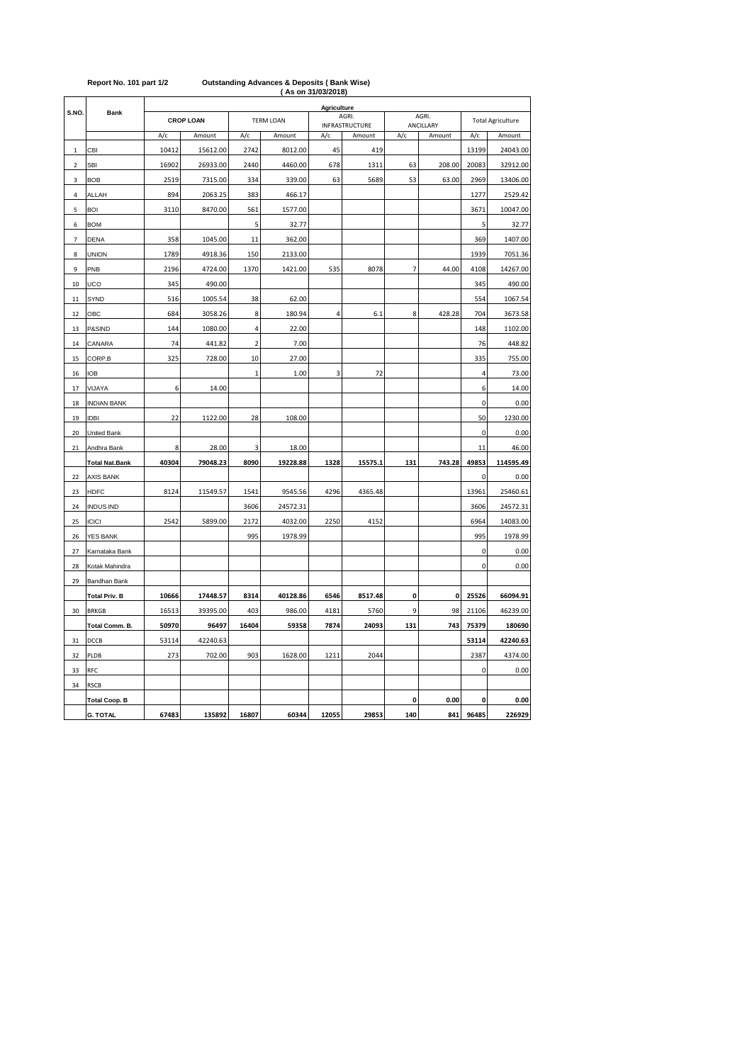| <br>Agriculture |                                 |       |          |                |                  |       |                |                |           |                          |           |
|-----------------|---------------------------------|-------|----------|----------------|------------------|-------|----------------|----------------|-----------|--------------------------|-----------|
| S.NO.           | <b>Bank</b><br><b>CROP LOAN</b> |       |          |                | <b>TERM LOAN</b> |       | AGRI.          |                | AGRI.     | <b>Total Agriculture</b> |           |
|                 |                                 |       |          |                |                  |       | INFRASTRUCTURE |                | ANCILLARY |                          |           |
|                 |                                 | A/c   | Amount   | A/c            | Amount           | A/c   | Amount         | A/c            | Amount    | A/c                      | Amount    |
| 1               | CBI                             | 10412 | 15612.00 | 2742           | 8012.00          | 45    | 419            |                |           | 13199                    | 24043.00  |
| 2               | <b>SBI</b>                      | 16902 | 26933.00 | 2440           | 4460.00          | 678   | 1311           | 63             | 208.00    | 20083                    | 32912.00  |
| 3               | <b>BOB</b>                      | 2519  | 7315.00  | 334            | 339.00           | 63    | 5689           | 53             | 63.00     | 2969                     | 13406.00  |
| 4               | ALLAH                           | 894   | 2063.25  | 383            | 466.17           |       |                |                |           | 1277                     | 2529.42   |
| 5               | <b>BOI</b>                      | 3110  | 8470.00  | 561            | 1577.00          |       |                |                |           | 3671                     | 10047.00  |
| 6               | <b>BOM</b>                      |       |          | 5              | 32.77            |       |                |                |           | 5                        | 32.77     |
| 7               | <b>DENA</b>                     | 358   | 1045.00  | 11             | 362.00           |       |                |                |           | 369                      | 1407.00   |
| 8               | <b>UNION</b>                    | 1789  | 4918.36  | 150            | 2133.00          |       |                |                |           | 1939                     | 7051.36   |
| 9               | PNB                             | 2196  | 4724.00  | 1370           | 1421.00          | 535   | 8078           | $\overline{7}$ | 44.00     | 4108                     | 14267.00  |
| 10              | UCO                             | 345   | 490.00   |                |                  |       |                |                |           | 345                      | 490.00    |
| 11              | SYND                            | 516   | 1005.54  | 38             | 62.00            |       |                |                |           | 554                      | 1067.54   |
| 12              | OBC                             | 684   | 3058.26  | 8              | 180.94           | 4     | 6.1            | 8              | 428.28    | 704                      | 3673.58   |
| 13              | P&SIND                          | 144   | 1080.00  | 4              | 22.00            |       |                |                |           | 148                      | 1102.00   |
| 14              | CANARA                          | 74    | 441.82   | $\overline{2}$ | 7.00             |       |                |                |           | 76                       | 448.82    |
| 15              | CORP.B                          | 325   | 728.00   | 10             | 27.00            |       |                |                |           | 335                      | 755.00    |
| 16              | <b>IOB</b>                      |       |          | $\mathbf{1}$   | 1.00             | 3     | 72             |                |           | 4                        | 73.00     |
| 17              | VIJAYA                          | 6     | 14.00    |                |                  |       |                |                |           | 6                        | 14.00     |
| 18              | <b>INDIAN BANK</b>              |       |          |                |                  |       |                |                |           | $\pmb{0}$                | 0.00      |
| 19              | <b>IDBI</b>                     | 22    | 1122.00  | 28             | 108.00           |       |                |                |           | 50                       | 1230.00   |
| 20              | United Bank                     |       |          |                |                  |       |                |                |           | 0                        | 0.00      |
| 21              | Andhra Bank                     | 8     | 28.00    | 3              | 18.00            |       |                |                |           | 11                       | 46.00     |
|                 | <b>Total Nat.Bank</b>           | 40304 | 79048.23 | 8090           | 19228.88         | 1328  | 15575.1        | 131            | 743.28    | 49853                    | 114595.49 |
| 22              | <b>AXIS BANK</b>                |       |          |                |                  |       |                |                |           | 0                        | 0.00      |
| 23              | <b>HDFC</b>                     | 8124  | 11549.57 | 1541           | 9545.56          | 4296  | 4365.48        |                |           | 13961                    | 25460.61  |
| 24              | <b>INDUS IND</b>                |       |          | 3606           | 24572.31         |       |                |                |           | 3606                     | 24572.31  |
| 25              | <b>ICICI</b>                    | 2542  | 5899.00  | 2172           | 4032.00          | 2250  | 4152           |                |           | 6964                     | 14083.00  |
| 26              | YES BANK                        |       |          | 995            | 1978.99          |       |                |                |           | 995                      | 1978.99   |
| 27              | Karnataka Bank                  |       |          |                |                  |       |                |                |           | 0                        | 0.00      |
| 28              | Kotak Mahindra                  |       |          |                |                  |       |                |                |           | 0                        | 0.00      |
|                 |                                 |       |          |                |                  |       |                |                |           |                          |           |
| 29              | Bandhan Bank                    |       |          |                |                  |       |                |                |           |                          |           |
|                 | <b>Total Priv. B</b>            | 10666 | 17448.57 | 8314           | 40128.86         | 6546  | 8517.48        | 0              | 0         | 25526                    | 66094.91  |
| 30              | <b>BRKGB</b>                    | 16513 | 39395.00 | 403            | 986.00           | 4181  | 5760           | 9              | 98        | 21106                    | 46239.00  |
|                 | Total Comm. B.                  | 50970 | 96497    | 16404          | 59358            | 7874  | 24093          | 131            | 743       | 75379                    | 180690    |
| 31              | DCCB                            | 53114 | 42240.63 |                |                  |       |                |                |           | 53114                    | 42240.63  |
| 32              | PLDB                            | 273   | 702.00   | 903            | 1628.00          | 1211  | 2044           |                |           | 2387                     | 4374.00   |
| 33              | RFC                             |       |          |                |                  |       |                |                |           | 0                        | 0.00      |
| 34              | <b>RSCB</b>                     |       |          |                |                  |       |                |                |           |                          |           |
|                 | <b>Total Coop. B</b>            |       |          |                |                  |       |                | 0              | 0.00      | 0                        | 0.00      |
|                 | <b>G. TOTAL</b>                 | 67483 | 135892   | 16807          | 60344            | 12055 | 29853          | 140            | 841       | 96485                    | 226929    |

## **( As on 31/03/2018) Report No. 101 part 1/2 Outstanding Advances & Deposits ( Bank Wise)**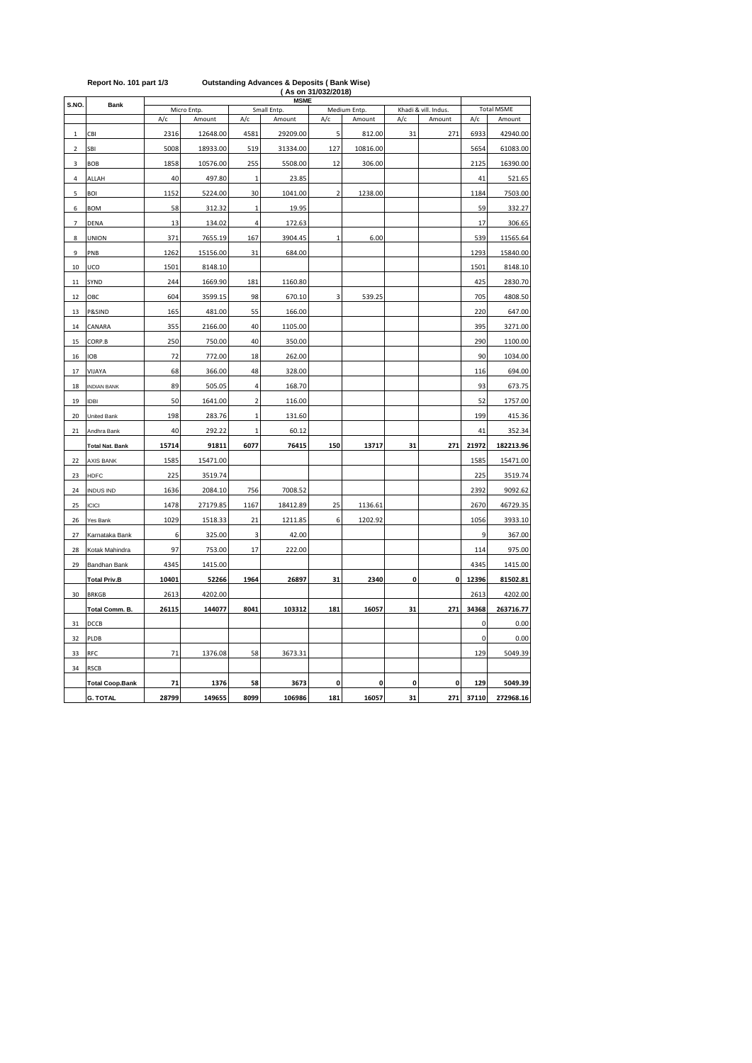|                | Report No. 101 part 1/3 |       |                       |                | <b>Outstanding Advances &amp; Deposits (Bank Wise)</b> | (As on 31/032/2018) |                        |             |                                |       |                             |
|----------------|-------------------------|-------|-----------------------|----------------|--------------------------------------------------------|---------------------|------------------------|-------------|--------------------------------|-------|-----------------------------|
| S.NO           | <b>Bank</b>             |       |                       |                | <b>MSME</b>                                            |                     |                        |             |                                |       |                             |
|                |                         | A/c   | Micro Entp.<br>Amount | A/c            | Small Entp.<br>Amount                                  | A/c                 | Medium Entp.<br>Amount | A/c         | Khadi & vill. Indus.<br>Amount | A/c   | <b>Total MSME</b><br>Amount |
| 1              | CBI                     | 2316  | 12648.00              | 4581           | 29209.00                                               | 5                   | 812.00                 | 31          | 271                            | 6933  | 42940.00                    |
| $\overline{2}$ | SBI                     | 5008  | 18933.00              | 519            | 31334.00                                               | 127                 | 10816.00               |             |                                | 5654  | 61083.00                    |
| 3              | <b>BOB</b>              | 1858  | 10576.00              | 255            | 5508.00                                                | 12                  | 306.00                 |             |                                | 2125  | 16390.00                    |
| 4              | ALLAH                   | 40    | 497.80                | $\,1\,$        | 23.85                                                  |                     |                        |             |                                | 41    | 521.65                      |
| 5              | <b>BOI</b>              | 1152  | 5224.00               | 30             | 1041.00                                                | $\overline{2}$      | 1238.00                |             |                                | 1184  | 7503.00                     |
| 6              | <b>BOM</b>              | 58    | 312.32                | $\mathbf{1}$   | 19.95                                                  |                     |                        |             |                                | 59    | 332.27                      |
| 7              | DENA                    | 13    | 134.02                | 4              | 172.63                                                 |                     |                        |             |                                | 17    | 306.65                      |
| 8              | <b>UNION</b>            | 371   | 7655.19               | 167            | 3904.45                                                | $\mathbf 1$         | 6.00                   |             |                                | 539   | 11565.64                    |
| 9              | PNB                     | 1262  | 15156.00              | 31             | 684.00                                                 |                     |                        |             |                                | 1293  | 15840.00                    |
| 10             | UCO                     | 1501  | 8148.10               |                |                                                        |                     |                        |             |                                | 1501  | 8148.10                     |
| $11\,$         | SYND                    | 244   | 1669.90               | 181            | 1160.80                                                |                     |                        |             |                                | 425   | 2830.70                     |
| 12             | OBC                     | 604   | 3599.15               | 98             | 670.10                                                 | 3                   | 539.25                 |             |                                | 705   | 4808.50                     |
| 13             | P&SIND                  | 165   | 481.00                | 55             | 166.00                                                 |                     |                        |             |                                | 220   | 647.00                      |
| 14             | CANARA                  | 355   | 2166.00               | 40             | 1105.00                                                |                     |                        |             |                                | 395   | 3271.00                     |
| 15             | CORP.B                  | 250   | 750.00                | 40             | 350.00                                                 |                     |                        |             |                                | 290   | 1100.00                     |
| 16             | <b>IOB</b>              | 72    | 772.00                | 18             | 262.00                                                 |                     |                        |             |                                | 90    | 1034.00                     |
| 17             | VIJAYA                  | 68    | 366.00                | 48             | 328.00                                                 |                     |                        |             |                                | 116   | 694.00                      |
| 18             | <b>INDIAN BANK</b>      | 89    | 505.05                | 4              | 168.70                                                 |                     |                        |             |                                | 93    | 673.75                      |
| 19             | <b>IDBI</b>             | 50    | 1641.00               | $\mathbf 2$    | 116.00                                                 |                     |                        |             |                                | 52    | 1757.00                     |
| 20             | United Bank             | 198   | 283.76                | 1              | 131.60                                                 |                     |                        |             |                                | 199   | 415.36                      |
| 21             | Andhra Bank             | 40    | 292.22                | $\overline{1}$ | 60.12                                                  |                     |                        |             |                                | 41    | 352.34                      |
|                | <b>Total Nat. Bank</b>  | 15714 | 91811                 | 6077           | 76415                                                  | 150                 | 13717                  | 31          | 271                            | 21972 | 182213.96                   |
| 22             | <b>AXIS BANK</b>        | 1585  | 15471.00              |                |                                                        |                     |                        |             |                                | 1585  | 15471.00                    |
| 23             | <b>HDFC</b>             | 225   | 3519.74               |                |                                                        |                     |                        |             |                                | 225   | 3519.74                     |
| 24             | <b>INDUS IND</b>        | 1636  | 2084.10               | 756            | 7008.52                                                |                     |                        |             |                                | 2392  | 9092.62                     |
| 25             | <b>ICICI</b>            | 1478  | 27179.85              | 1167           | 18412.89                                               | 25                  | 1136.61                |             |                                | 2670  | 46729.35                    |
| 26             | Yes Bank                | 1029  | 1518.33               | 21             | 1211.85                                                | 6                   | 1202.92                |             |                                | 1056  | 3933.10                     |
| 27             | Karnataka Bank          | 6     | 325.00                | 3              | 42.00                                                  |                     |                        |             |                                | 9     | 367.00                      |
| 28             | Kotak Mahindra          | 97    | 753.00                | 17             | 222.00                                                 |                     |                        |             |                                | 114   | 975.00                      |
| 29             | Bandhan Bank            | 4345  | 1415.00               |                |                                                        |                     |                        |             |                                | 4345  | 1415.00                     |
|                | <b>Total Priv.B</b>     | 10401 | 52266                 | 1964           | 26897                                                  | 31                  | 2340                   | $\mathbf 0$ | 0                              | 12396 | 81502.81                    |
| 30             | <b>BRKGB</b>            | 2613  | 4202.00               |                |                                                        |                     |                        |             |                                | 2613  | 4202.00                     |
|                | Total Comm. B.          | 26115 | 144077                | 8041           | 103312                                                 | 181                 | 16057                  | 31          | 271                            | 34368 | 263716.77                   |
| 31             | DCCB                    |       |                       |                |                                                        |                     |                        |             |                                | 0     | 0.00                        |
| 32             | PLDB                    |       |                       |                |                                                        |                     |                        |             |                                | 0     | 0.00                        |
| 33             | <b>RFC</b>              | 71    | 1376.08               | 58             | 3673.31                                                |                     |                        |             |                                | 129   | 5049.39                     |
| 34             | <b>RSCB</b>             |       |                       |                |                                                        |                     |                        |             |                                |       |                             |
|                | <b>Total Coop.Bank</b>  | 71    | 1376                  | 58             | 3673                                                   | 0                   | 0                      | 0           | 0                              | 129   | 5049.39                     |
|                | <b>G. TOTAL</b>         | 28799 | 149655                | 8099           | 106986                                                 | 181                 | 16057                  | 31          | 271                            | 37110 | 272968.16                   |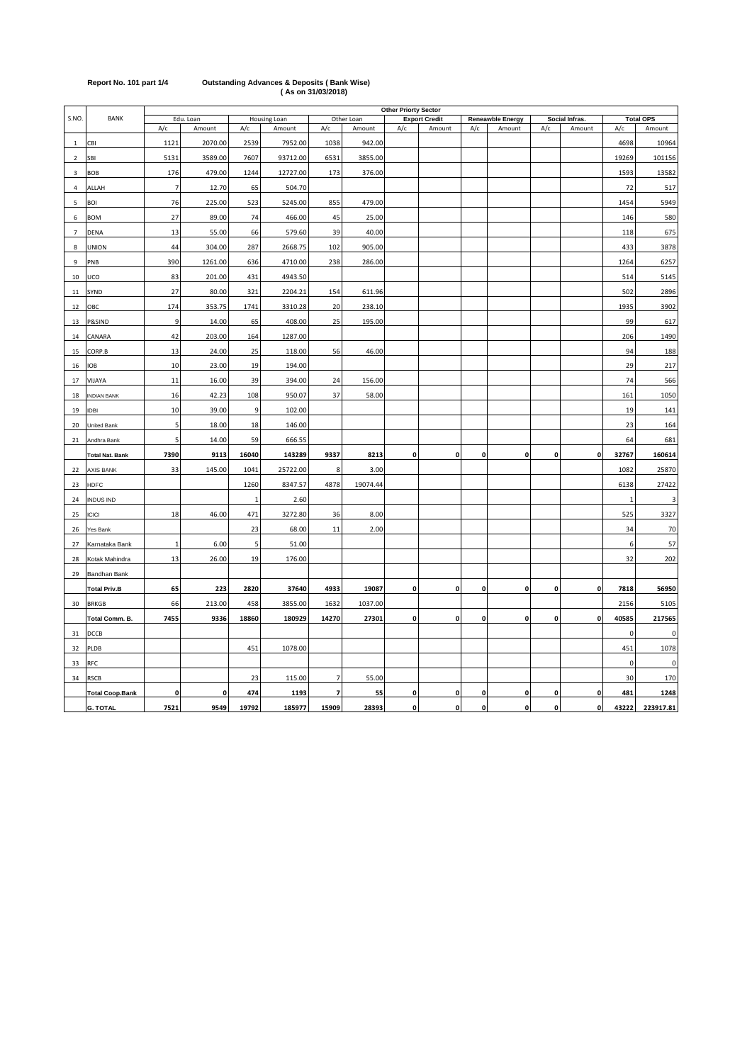| Report No. 101 part 1/4 | <b>Outstanding Advances &amp; Deposits (Bank Wise)</b> |
|-------------------------|--------------------------------------------------------|
|                         | (As on 31/03/2018)                                     |

|                |                        |              | <b>Other Priorty Sector</b> |       |              |                          |            |              |                      |     |                         |              |                |              |                  |
|----------------|------------------------|--------------|-----------------------------|-------|--------------|--------------------------|------------|--------------|----------------------|-----|-------------------------|--------------|----------------|--------------|------------------|
| S.NO.          | <b>BANK</b>            |              | Edu. Loan                   |       | Housing Loan |                          | Other Loan |              | <b>Export Credit</b> |     | <b>Reneawble Energy</b> |              | Social Infras. |              | <b>Total OPS</b> |
|                |                        | A/c          | Amount                      | A/c   | Amount       | A/c                      | Amount     | A/c          | Amount               | A/c | Amount                  | A/c          | Amount         | A/c          | Amount           |
| $\,1\,$        | CBI                    | 1121         | 2070.00                     | 2539  | 7952.00      | 1038                     | 942.00     |              |                      |     |                         |              |                | 4698         | 10964            |
| $\overline{2}$ | SBI                    | 5131         | 3589.00                     | 7607  | 93712.00     | 6531                     | 3855.00    |              |                      |     |                         |              |                | 19269        | 101156           |
| $\overline{3}$ | BOB                    | 176          | 479.00                      | 1244  | 12727.00     | 173                      | 376.00     |              |                      |     |                         |              |                | 1593         | 13582            |
| $\sqrt{4}$     | ALLAH                  | 7            | 12.70                       | 65    | 504.70       |                          |            |              |                      |     |                         |              |                | 72           | 517              |
| 5              | <b>BOI</b>             | 76           | 225.00                      | 523   | 5245.00      | 855                      | 479.00     |              |                      |     |                         |              |                | 1454         | 5949             |
| 6              | <b>BOM</b>             | 27           | 89.00                       | 74    | 466.00       | 45                       | 25.00      |              |                      |     |                         |              |                | 146          | 580              |
| 7              | DENA                   | 13           | 55.00                       | 66    | 579.60       | 39                       | 40.00      |              |                      |     |                         |              |                | 118          | 675              |
| 8              | <b>UNION</b>           | 44           | 304.00                      | 287   | 2668.75      | 102                      | 905.00     |              |                      |     |                         |              |                | 433          | 3878             |
| 9              | PNB                    | 390          | 1261.00                     | 636   | 4710.00      | 238                      | 286.00     |              |                      |     |                         |              |                | 1264         | 6257             |
| 10             | UCO                    | 83           | 201.00                      | 431   | 4943.50      |                          |            |              |                      |     |                         |              |                | 514          | 5145             |
| 11             | SYND                   | 27           | 80.00                       | 321   | 2204.21      | 154                      | 611.96     |              |                      |     |                         |              |                | 502          | 2896             |
| 12             | OBC                    | 174          | 353.75                      | 1741  | 3310.28      | 20                       | 238.10     |              |                      |     |                         |              |                | 1935         | 3902             |
| 13             | P&SIND                 | 9            | 14.00                       | 65    | 408.00       | 25                       | 195.00     |              |                      |     |                         |              |                | 99           | 617              |
| 14             | CANARA                 | 42           | 203.00                      | 164   | 1287.00      |                          |            |              |                      |     |                         |              |                | 206          | 1490             |
| 15             | CORP.B                 | 13           | 24.00                       | 25    | 118.00       | 56                       | 46.00      |              |                      |     |                         |              |                | 94           | 188              |
| 16             | IOB                    | 10           | 23.00                       | 19    | 194.00       |                          |            |              |                      |     |                         |              |                | 29           | 217              |
| 17             | VIJAYA                 | 11           | 16.00                       | 39    | 394.00       | 24                       | 156.00     |              |                      |     |                         |              |                | 74           | 566              |
| 18             | <b>NDIAN BANK</b>      | 16           | 42.23                       | 108   | 950.07       | 37                       | 58.00      |              |                      |     |                         |              |                | 161          | 1050             |
| 19             | <b>IDBI</b>            | 10           | 39.00                       | 9     | 102.00       |                          |            |              |                      |     |                         |              |                | 19           | 141              |
| 20             | United Bank            | 5            | 18.00                       | 18    | 146.00       |                          |            |              |                      |     |                         |              |                | 23           | 164              |
| 21             | Andhra Bank            | 5            | 14.00                       | 59    | 666.55       |                          |            |              |                      |     |                         |              |                | 64           | 681              |
|                | <b>Total Nat. Bank</b> | 7390         | 9113                        | 16040 | 143289       | 9337                     | 8213       | 0            | 0                    | 0   | $\pmb{\mathsf{o}}$      | 0            | 0              | 32767        | 160614           |
| 22             | AXIS BANK              | 33           | 145.00                      | 1041  | 25722.00     | 8                        | 3.00       |              |                      |     |                         |              |                | 1082         | 25870            |
| 23             | HDFC                   |              |                             | 1260  | 8347.57      | 4878                     | 19074.44   |              |                      |     |                         |              |                | 6138         | 27422            |
| 24             | <b>INDUS IND</b>       |              |                             | 1     | 2.60         |                          |            |              |                      |     |                         |              |                | $\mathbf{1}$ | 3                |
| 25             | <b>ICICI</b>           | 18           | 46.00                       | 471   | 3272.80      | 36                       | 8.00       |              |                      |     |                         |              |                | 525          | 3327             |
| 26             | Yes Bank               |              |                             | 23    | 68.00        | 11                       | 2.00       |              |                      |     |                         |              |                | 34           | 70               |
| 27             | Karnataka Bank         | $\mathbf{1}$ | 6.00                        | 5     | 51.00        |                          |            |              |                      |     |                         |              |                | 6            | 57               |
| 28             | Kotak Mahindra         | 13           | 26.00                       | 19    | 176.00       |                          |            |              |                      |     |                         |              |                | 32           | 202              |
| 29             | Bandhan Bank           |              |                             |       |              |                          |            |              |                      |     |                         |              |                |              |                  |
|                | <b>Total Priv.B</b>    | 65           | 223                         | 2820  | 37640        | 4933                     | 19087      | 0            | $\mathbf 0$          | 0   | 0                       | 0            | $\mathbf 0$    | 7818         | 56950            |
| 30             | <b>BRKGB</b>           | 66           | 213.00                      | 458   | 3855.00      | 1632                     | 1037.00    |              |                      |     |                         |              |                | 2156         | 5105             |
|                | Total Comm. B.         | 7455         | 9336                        | 18860 | 180929       | 14270                    | 27301      | 0            | $\mathbf 0$          | 0   | $\pmb{0}$               | $\pmb{0}$    | 0              | 40585        | 217565           |
| 31             | DCCB                   |              |                             |       |              |                          |            |              |                      |     |                         |              |                | $\mathsf 0$  | 0                |
| 32             | PLDB                   |              |                             | 451   | 1078.00      |                          |            |              |                      |     |                         |              |                | 451          | 1078             |
| 33             | RFC                    |              |                             |       |              |                          |            |              |                      |     |                         |              |                | $\pmb{0}$    | $\pmb{0}$        |
| 34             | <b>RSCB</b>            |              |                             | 23    | 115.00       | $\overline{7}$           | 55.00      |              |                      |     |                         |              |                | 30           | 170              |
|                | <b>Total Coop.Bank</b> | 0            | 0                           | 474   | 1193         | $\overline{\phantom{a}}$ | 55         | 0            | 0                    | 0   | 0                       | 0            | $\mathbf 0$    | 481          | 1248             |
|                | <b>G. TOTAL</b>        | 7521         | 9549                        | 19792 | 185977       | 15909                    | 28393      | $\mathbf{0}$ | $\mathbf 0$          | 0   | $\mathbf{o}$            | $\mathbf{0}$ | ol             | 43222        | 223917.81        |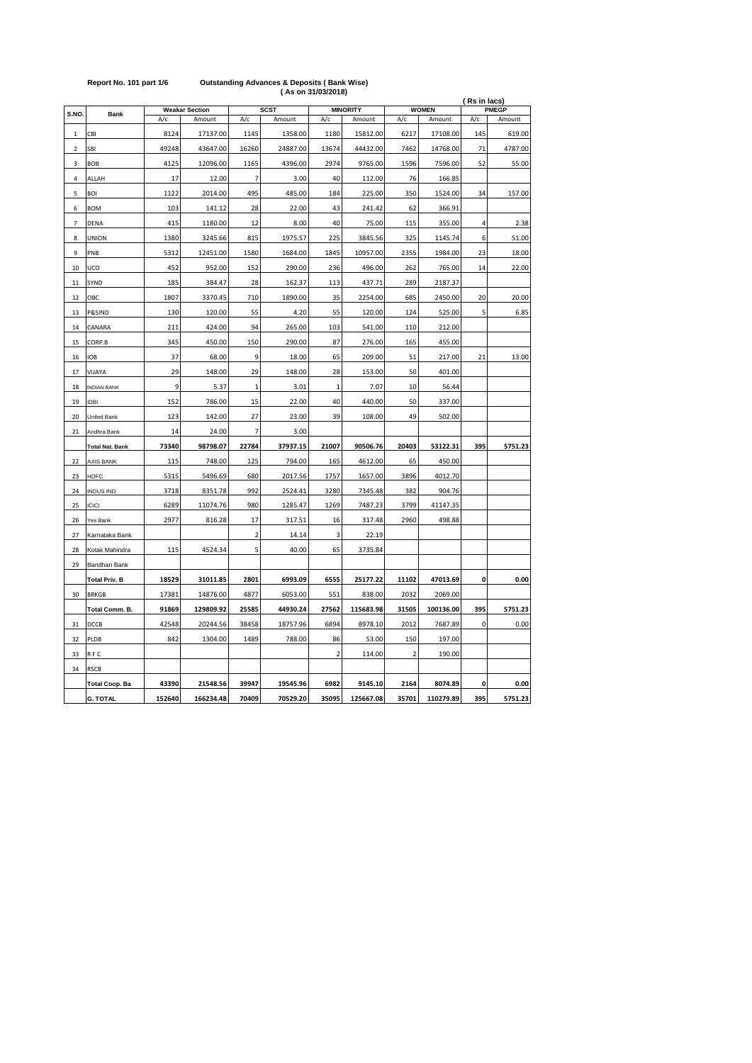|                         |                        |               |                                 |                |                       |                |                           | (Rs in lacs)   |                        |             |                        |
|-------------------------|------------------------|---------------|---------------------------------|----------------|-----------------------|----------------|---------------------------|----------------|------------------------|-------------|------------------------|
| S.NO.                   | <b>Bank</b>            | A/c           | <b>Weakar Section</b><br>Amount | A/c            | <b>SCST</b><br>Amount | A/c            | <b>MINORITY</b><br>Amount | A/c            | <b>WOMEN</b><br>Amount | A/c         | <b>PMEGP</b><br>Amount |
|                         |                        |               |                                 |                |                       |                |                           |                |                        |             |                        |
| 1                       | CBI                    | 8124<br>49248 | 17137.00<br>43647.00            | 1145           | 1358.00<br>24887.00   | 1180<br>13674  | 15812.00<br>44432.00      | 6217<br>7462   | 17108.00<br>14768.00   | 145<br>71   | 619.00<br>4787.00      |
| $\overline{\mathbf{c}}$ | SBI                    |               |                                 | 16260          |                       |                |                           |                |                        |             |                        |
| 3                       | BOB                    | 4125          | 12096.00                        | 1165           | 4396.00               | 2974           | 9765.00                   | 1596           | 7596.00                | 52          | 55.00                  |
| 4                       | ALLAH                  | 17            | 12.00                           | $\overline{7}$ | 3.00                  | 40             | 112.00                    | 76             | 166.85                 |             |                        |
| 5                       | BOI                    | 1122          | 2014.00                         | 495            | 485.00                | 184            | 225.00                    | 350            | 1524.00                | 34          | 157.00                 |
| 6                       | <b>BOM</b>             | 103           | 141.12                          | 28             | 22.00                 | 43             | 241.42                    | 62             | 366.91                 |             |                        |
| $\overline{7}$          | <b>DENA</b>            | 415           | 1180.00                         | 12             | 8.00                  | 40             | 75.00                     | 115            | 355.00                 | 4           | 2.38                   |
| 8                       | <b>UNION</b>           | 1380          | 3245.66                         | 815            | 1975.57               | 225            | 3845.56                   | 325            | 1145.74                | 6           | 51.00                  |
| 9                       | PNB                    | 5312          | 12451.00                        | 1580           | 1684.00               | 1845           | 10957.00                  | 2355           | 1984.00                | 23          | 18.00                  |
| 10                      | UCO                    | 452           | 952.00                          | 152            | 290.00                | 236            | 496.00                    | 262            | 765.00                 | 14          | 22.00                  |
| 11                      | SYND                   | 185           | 384.47                          | 28             | 162.37                | 113            | 437.71                    | 289            | 2187.37                |             |                        |
| 12                      | OBC                    | 1807          | 3370.45                         | 710            | 1890.00               | 35             | 2254.00                   | 685            | 2450.00                | 20          | 20.00                  |
| 13                      | P&SIND                 | 130           | 120.00                          | 55             | 4.20                  | 55             | 120.00                    | 124            | 525.00                 | 5           | 6.85                   |
| 14                      | CANARA                 | 211           | 424.00                          | 94             | 265.00                | 103            | 541.00                    | 110            | 212.00                 |             |                        |
| 15                      | CORP.B                 | 345           | 450.00                          | 150            | 290.00                | 87             | 276.00                    | 165            | 455.00                 |             |                        |
| 16                      | <b>IOB</b>             | 37            | 68.00                           | 9              | 18.00                 | 65             | 209.00                    | 51             | 217.00                 | 21          | 13.00                  |
| 17                      | VIJAYA                 | 29            | 148.00                          | 29             | 148.00                | 28             | 153.00                    | 50             | 401.00                 |             |                        |
| 18                      | <b>INDIAN BANK</b>     | 9             | 5.37                            | $\mathbf{1}$   | 3.01                  | $\mathbf{1}$   | 7.07                      | 10             | 56.44                  |             |                        |
| 19                      | <b>IDBI</b>            | 152           | 786.00                          | 15             | 22.00                 | 40             | 440.00                    | 50             | 337.00                 |             |                        |
| 20                      | United Bank            | 123           | 142.00                          | 27             | 23.00                 | 39             | 108.00                    | 49             | 502.00                 |             |                        |
| 21                      | Andhra Bank            | 14            | 24.00                           | $\overline{7}$ | 3.00                  |                |                           |                |                        |             |                        |
|                         | <b>Total Nat. Bank</b> | 73340         | 98798.07                        | 22784          | 37937.15              | 21007          | 90506.76                  | 20403          | 53122.31               | 395         | 5751.23                |
| 22                      | <b>AXIS BANK</b>       | 115           | 748.00                          | 125            | 794.00                | 165            | 4612.00                   | 65             | 450.00                 |             |                        |
| 23                      | <b>HDFC</b>            | 5315          | 5496.69                         | 680            | 2017.56               | 1757           | 1657.00                   | 3896           | 4012.70                |             |                        |
| 24                      | <b>INDUS IND</b>       | 3718          | 8351.78                         | 992            | 2524.41               | 3280           | 7345.48                   | 382            | 904.76                 |             |                        |
| 25                      | <b>ICICI</b>           | 6289          | 11074.76                        | 980            | 1285.47               | 1269           | 7487.23                   | 3799           | 41147.35               |             |                        |
| 26                      | Yes Bank               | 2977          | 816.28                          | 17             | 317.51                | 16             | 317.48                    | 2960           | 498.88                 |             |                        |
| 27                      | Karnataka Bank         |               |                                 | $\overline{2}$ | 14.14                 | 3              | 22.19                     |                |                        |             |                        |
| 28                      | Kotak Mahindra         | 115           | 4524.34                         | 5              | 40.00                 | 65             | 3735.84                   |                |                        |             |                        |
| 29                      | Bandhan Bank           |               |                                 |                |                       |                |                           |                |                        |             |                        |
|                         | <b>Total Priv. B</b>   | 18529         | 31011.85                        | 2801           | 6993.09               | 6555           | 25177.22                  | 11102          | 47013.69               | 0           | 0.00                   |
| 30                      | <b>BRKGB</b>           | 17381         | 14876.00                        | 4877           | 6053.00               | 551            | 838.00                    | 2032           | 2069.00                |             |                        |
|                         | Total Comm. B.         | 91869         | 129809.92                       | 25585          | 44930.24              | 27562          | 115683.98                 | 31505          | 100136.00              | 395         | 5751.23                |
|                         |                        | 42548         | 20244.56                        |                |                       | 6894           | 8978.10                   | 2012           |                        | $\mathbf 0$ | 0.00                   |
| 31                      | DCCB                   |               |                                 | 38458          | 18757.96              |                |                           |                | 7687.89                |             |                        |
| 32                      | PLDB                   | 842           | 1304.00                         | 1489           | 788.00                | 86             | 53.00                     | 150            | 197.00                 |             |                        |
| 33                      | RFC                    |               |                                 |                |                       | $\overline{2}$ | 114.00                    | $\overline{2}$ | 190.00                 |             |                        |
| 34                      | <b>RSCB</b>            |               |                                 |                |                       |                |                           |                |                        |             |                        |
|                         | <b>Total Coop. Ba</b>  | 43390         | 21548.56                        | 39947          | 19545.96              | 6982           | 9145.10                   | 2164           | 8074.89                | 0           | 0.00                   |
|                         | G. TOTAL               | 152640        | 166234.48                       | 70409          | 70529.20              | 35095          | 125667.08                 | 35701          | 110279.89              | 395         | 5751.23                |

## **Report No. 101 part 1/6 Outstanding Advances & Deposits ( Bank Wise) ( As on 31/03/2018)**